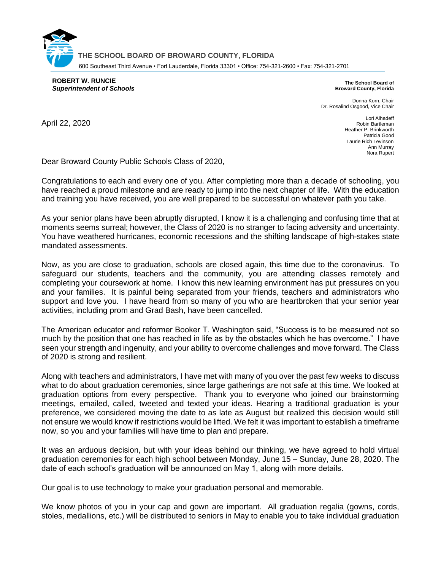**THE SCHOOL BOARD OF BROWARD COUNTY, FLORIDA** 600 Southeast Third Avenue • Fort Lauderdale, Florida 33301 • Office: 754-321-2600 • Fax: 754-321-2701

**ROBERT W. RUNCIE** *Superintendent of Schools*

**The School Board of Broward County, Florida**

Donna Korn, Chair Dr. Rosalind Osgood, Vice Chair

April 22, 2020

Lori Alhadeff Robin Bartleman Heather P. Brinkworth Patricia Good Laurie Rich Levinson Ann Murray Nora Rupert

Dear Broward County Public Schools Class of 2020,

Congratulations to each and every one of you. After completing more than a decade of schooling, you have reached a proud milestone and are ready to jump into the next chapter of life. With the education and training you have received, you are well prepared to be successful on whatever path you take.

As your senior plans have been abruptly disrupted, I know it is a challenging and confusing time that at moments seems surreal; however, the Class of 2020 is no stranger to facing adversity and uncertainty. You have weathered hurricanes, economic recessions and the shifting landscape of high-stakes state mandated assessments.

Now, as you are close to graduation, schools are closed again, this time due to the coronavirus. To safeguard our students, teachers and the community, you are attending classes remotely and completing your coursework at home. I know this new learning environment has put pressures on you and your families. It is painful being separated from your friends, teachers and administrators who support and love you. I have heard from so many of you who are heartbroken that your senior year activities, including prom and Grad Bash, have been cancelled.

The American educator and reformer Booker T. Washington said, "Success is to be measured not so much by the position that one has reached in life as by the obstacles which he has overcome." I have seen your strength and ingenuity, and your ability to overcome challenges and move forward. The Class of 2020 is strong and resilient.

Along with teachers and administrators, I have met with many of you over the past few weeks to discuss what to do about graduation ceremonies, since large gatherings are not safe at this time. We looked at graduation options from every perspective. Thank you to everyone who joined our brainstorming meetings, emailed, called, tweeted and texted your ideas. Hearing a traditional graduation is your preference, we considered moving the date to as late as August but realized this decision would still not ensure we would know if restrictions would be lifted. We felt it was important to establish a timeframe now, so you and your families will have time to plan and prepare.

It was an arduous decision, but with your ideas behind our thinking, we have agreed to hold virtual graduation ceremonies for each high school between Monday, June 15 – Sunday, June 28, 2020. The date of each school's graduation will be announced on May 1, along with more details.

Our goal is to use technology to make your graduation personal and memorable.

We know photos of you in your cap and gown are important. All graduation regalia (gowns, cords, stoles, medallions, etc.) will be distributed to seniors in May to enable you to take individual graduation